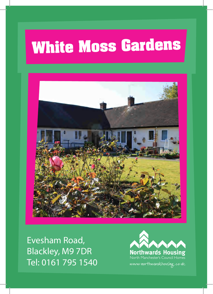## **White Moss Gardens**



Evesham Road, Blackley, M9 7DR Tel: 0161 795 1540

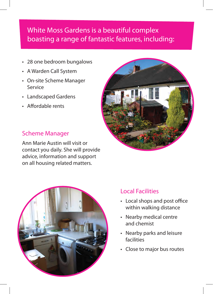## White Moss Gardens is a beautiful complex boasting a range of fantastic features, including:

- • 28 one bedroom bungalows
- • A Warden Call System
- • On-site Scheme Manager Service
- • Landscaped Gardens
- Affordable rents



Ann Marie Austin will visit or contact you daily. She will provide advice, information and support on all housing related matters.





- • Local shops and post office within walking distance
- • Nearby medical centre and chemist
- • Nearby parks and leisure facilities
- Close to major bus routes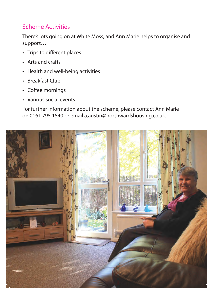## Scheme Activities

There's lots going on at White Moss, and Ann Marie helps to organise and support…

- Trips to different places
- • Arts and crafts
- Health and well-being activities
- Breakfast Club
- Coffee mornings
- • Various social events

For further information about the scheme, please contact Ann Marie on 0161 795 1540 or email a.austin@northwardshousing.co.uk.